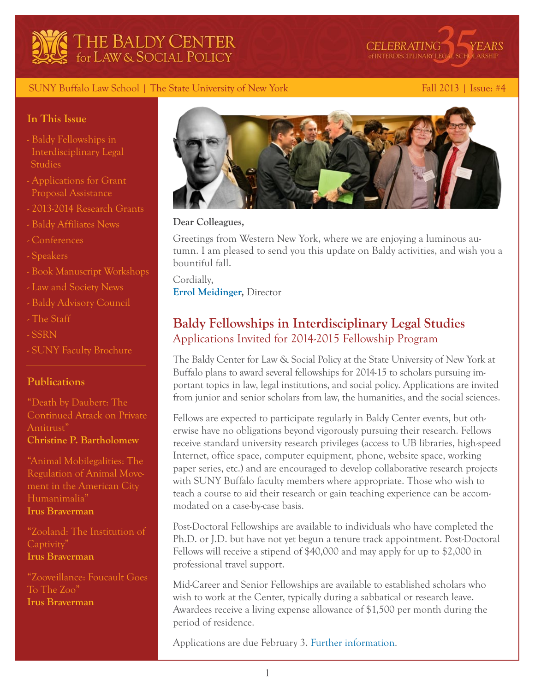



#### SUNY Buffalo Law School | The State University of New York Fall 2013 | Issue: #4

#### **In This Issue**

- [Baldy Fellowships in](#page-0-0)   [Interdisciplinary Legal](#page-0-0)  **Studies**
- [Applications for Grant](#page-2-0)   [Proposal Assistance](#page-2-0)
- [2013-2014 Research Grants](#page-3-0)
- [Baldy Affiliates News](#page-3-1)
- [Conferences](#page-4-0)
- [Speakers](#page-5-0)
- [Book Manuscript Workshops](#page-6-0)
- [Law and Society News](#page-6-1)
- [Baldy Advisory Council](#page-7-0)
- [The Staff](#page-8-0)
- [SSRN](#page-9-0)
- [SUNY Faculty Brochure](#page-9-1)

#### **Publications**

["Death by Daubert: The](http://buffalo.us6.list-manage.com/track/click?u=9c469ba21bc97eb026344d1d7&id=10dfb200af&e=4ce4c6afb2)  [Continued Attack on Private](http://buffalo.us6.list-manage.com/track/click?u=9c469ba21bc97eb026344d1d7&id=10dfb200af&e=4ce4c6afb2)  [Antitrust"](http://buffalo.us6.list-manage.com/track/click?u=9c469ba21bc97eb026344d1d7&id=10dfb200af&e=4ce4c6afb2) **Christine P. Bartholomew**

["Animal Mobilegalities: The](http://buffalo.us6.list-manage.com/track/click?u=9c469ba21bc97eb026344d1d7&id=48bbf720cf&e=4ce4c6afb2)  [Regulation of Animal Move](http://buffalo.us6.list-manage.com/track/click?u=9c469ba21bc97eb026344d1d7&id=48bbf720cf&e=4ce4c6afb2)[ment in the American City](http://buffalo.us6.list-manage.com/track/click?u=9c469ba21bc97eb026344d1d7&id=48bbf720cf&e=4ce4c6afb2)  [Humanimalia"](http://buffalo.us6.list-manage.com/track/click?u=9c469ba21bc97eb026344d1d7&id=48bbf720cf&e=4ce4c6afb2) **[Irus Braverman](http://buffalo.us6.list-manage.com/track/click?u=9c469ba21bc97eb026344d1d7&id=8507dbf705&e=4ce4c6afb2)**

["Zooland: The Institution of](http://buffalo.us6.list-manage1.com/track/click?u=9c469ba21bc97eb026344d1d7&id=01529e99b4&e=4ce4c6afb2)  [Captivity"](http://buffalo.us6.list-manage1.com/track/click?u=9c469ba21bc97eb026344d1d7&id=01529e99b4&e=4ce4c6afb2) **[Irus Braverman](http://buffalo.us6.list-manage1.com/track/click?u=9c469ba21bc97eb026344d1d7&id=19af6344ee&e=4ce4c6afb2)**

["Zooveillance: Foucault Goes](http://buffalo.us6.list-manage.com/track/click?u=9c469ba21bc97eb026344d1d7&id=3af73809bc&e=4ce4c6afb2)  [To The Zoo"](http://buffalo.us6.list-manage.com/track/click?u=9c469ba21bc97eb026344d1d7&id=3af73809bc&e=4ce4c6afb2) **[Irus Braverman](http://buffalo.us6.list-manage.com/track/click?u=9c469ba21bc97eb026344d1d7&id=a454e9185a&e=4ce4c6afb2)**



#### **Dear Colleagues,**

Greetings from Western New York, where we are enjoying a luminous autumn. I am pleased to send you this update on Baldy activities, and wish you a bountiful fall.

Cordially, **[Errol Meidinger](http://buffalo.us6.list-manage.com/track/click?u=9c469ba21bc97eb026344d1d7&id=34407cb1d1&e=4ce4c6afb2),** Director

# <span id="page-0-0"></span>**Baldy Fellowships in Interdisciplinary Legal Studies** Applications Invited for 2014-2015 Fellowship Program

The Baldy Center for Law & Social Policy at the State University of New York at Buffalo plans to award several fellowships for 2014-15 to scholars pursuing important topics in law, legal institutions, and social policy. Applications are invited from junior and senior scholars from law, the humanities, and the social sciences.

Fellows are expected to participate regularly in Baldy Center events, but otherwise have no obligations beyond vigorously pursuing their research. Fellows receive standard university research privileges (access to UB libraries, high-speed Internet, office space, computer equipment, phone, website space, working paper series, etc.) and are encouraged to develop collaborative research projects with SUNY Buffalo faculty members where appropriate. Those who wish to teach a course to aid their research or gain teaching experience can be accommodated on a case-by-case basis.

Post-Doctoral Fellowships are available to individuals who have completed the Ph.D. or J.D. but have not yet begun a tenure track appointment. Post-Doctoral Fellows will receive a stipend of \$40,000 and may apply for up to \$2,000 in professional travel support.

Mid-Career and Senior Fellowships are available to established scholars who wish to work at the Center, typically during a sabbatical or research leave. Awardees receive a living expense allowance of \$1,500 per month during the period of residence.

Applications are due February 3. [Further information.](http://buffalo.us6.list-manage1.com/track/click?u=9c469ba21bc97eb026344d1d7&id=f12b271f31&e=4ce4c6afb2)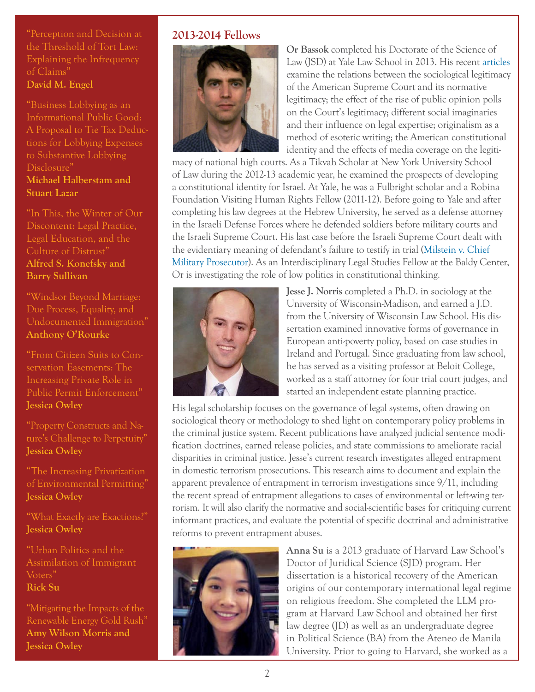["Perception and Decision at](http://buffalo.us6.list-manage.com/track/click?u=9c469ba21bc97eb026344d1d7&id=1d73267cea&e=4ce4c6afb2)  [the Threshold of Tort Law:](http://buffalo.us6.list-manage.com/track/click?u=9c469ba21bc97eb026344d1d7&id=1d73267cea&e=4ce4c6afb2)  [Explaining the Infrequency](http://buffalo.us6.list-manage.com/track/click?u=9c469ba21bc97eb026344d1d7&id=1d73267cea&e=4ce4c6afb2)  [of Claims"](http://buffalo.us6.list-manage.com/track/click?u=9c469ba21bc97eb026344d1d7&id=1d73267cea&e=4ce4c6afb2) **[David M. Engel](http://buffalo.us6.list-manage2.com/track/click?u=9c469ba21bc97eb026344d1d7&id=0c9cd9c84e&e=4ce4c6afb2)**

["Business Lobbying as an](http://buffalo.us6.list-manage2.com/track/click?u=9c469ba21bc97eb026344d1d7&id=0bf3459448&e=4ce4c6afb2)  [Informational Public Good:](http://buffalo.us6.list-manage2.com/track/click?u=9c469ba21bc97eb026344d1d7&id=0bf3459448&e=4ce4c6afb2)  [A Proposal to Tie Tax Deduc](http://buffalo.us6.list-manage2.com/track/click?u=9c469ba21bc97eb026344d1d7&id=0bf3459448&e=4ce4c6afb2)[tions for Lobbying Expenses](http://buffalo.us6.list-manage2.com/track/click?u=9c469ba21bc97eb026344d1d7&id=0bf3459448&e=4ce4c6afb2)  [to Substantive Lobbying](http://buffalo.us6.list-manage2.com/track/click?u=9c469ba21bc97eb026344d1d7&id=0bf3459448&e=4ce4c6afb2)  [Disclosure"](http://buffalo.us6.list-manage2.com/track/click?u=9c469ba21bc97eb026344d1d7&id=0bf3459448&e=4ce4c6afb2) **[Michael Halberstam](http://buffalo.us6.list-manage1.com/track/click?u=9c469ba21bc97eb026344d1d7&id=a9ad25d561&e=4ce4c6afb2) and [Stuart Lazar](http://buffalo.us6.list-manage.com/track/click?u=9c469ba21bc97eb026344d1d7&id=b02aaae8b5&e=4ce4c6afb2)**

["In This, the Winter of Our](http://buffalo.us6.list-manage.com/track/click?u=9c469ba21bc97eb026344d1d7&id=4827882fc6&e=4ce4c6afb2)  [Discontent: Legal Practice,](http://buffalo.us6.list-manage.com/track/click?u=9c469ba21bc97eb026344d1d7&id=4827882fc6&e=4ce4c6afb2)  [Legal Education, and the](http://buffalo.us6.list-manage.com/track/click?u=9c469ba21bc97eb026344d1d7&id=4827882fc6&e=4ce4c6afb2)  [Culture of Distrust"](http://buffalo.us6.list-manage.com/track/click?u=9c469ba21bc97eb026344d1d7&id=4827882fc6&e=4ce4c6afb2) **[Alfred S. Konefsky](http://buffalo.us6.list-manage1.com/track/click?u=9c469ba21bc97eb026344d1d7&id=2ae116ecbe&e=4ce4c6afb2) and [Barry Sullivan](http://buffalo.us6.list-manage.com/track/click?u=9c469ba21bc97eb026344d1d7&id=dee8a63416&e=4ce4c6afb2)**

["Windsor Beyond Marriage:](http://buffalo.us6.list-manage2.com/track/click?u=9c469ba21bc97eb026344d1d7&id=15e22d8f0a&e=4ce4c6afb2)  [Due Process, Equality, and](http://buffalo.us6.list-manage2.com/track/click?u=9c469ba21bc97eb026344d1d7&id=15e22d8f0a&e=4ce4c6afb2)  [Undocumented Immigration"](http://buffalo.us6.list-manage2.com/track/click?u=9c469ba21bc97eb026344d1d7&id=15e22d8f0a&e=4ce4c6afb2) **[Anthony O'Rourke](http://buffalo.us6.list-manage.com/track/click?u=9c469ba21bc97eb026344d1d7&id=588ea3e1af&e=4ce4c6afb2)**

["From Citizen Suits to Con](http://buffalo.us6.list-manage.com/track/click?u=9c469ba21bc97eb026344d1d7&id=a78a6d06cf&e=4ce4c6afb2)[servation Easements: The](http://buffalo.us6.list-manage.com/track/click?u=9c469ba21bc97eb026344d1d7&id=a78a6d06cf&e=4ce4c6afb2)  [Increasing Private Role in](http://buffalo.us6.list-manage.com/track/click?u=9c469ba21bc97eb026344d1d7&id=a78a6d06cf&e=4ce4c6afb2)  [Public Permit Enforcement"](http://buffalo.us6.list-manage.com/track/click?u=9c469ba21bc97eb026344d1d7&id=a78a6d06cf&e=4ce4c6afb2) **[Jessica Owley](http://buffalo.us6.list-manage.com/track/click?u=9c469ba21bc97eb026344d1d7&id=c1eeb24e86&e=4ce4c6afb2)**

["Property Constructs and Na](http://buffalo.us6.list-manage1.com/track/click?u=9c469ba21bc97eb026344d1d7&id=12de65d9f3&e=4ce4c6afb2)[ture's Challenge to Perpetuity"](http://buffalo.us6.list-manage1.com/track/click?u=9c469ba21bc97eb026344d1d7&id=12de65d9f3&e=4ce4c6afb2) **[Jessica Owley](http://buffalo.us6.list-manage.com/track/click?u=9c469ba21bc97eb026344d1d7&id=1936dac508&e=4ce4c6afb2)**

["The Increasing Privatization](http://buffalo.us6.list-manage.com/track/click?u=9c469ba21bc97eb026344d1d7&id=4a61e3241b&e=4ce4c6afb2)  [of Environmental Permitting"](http://buffalo.us6.list-manage.com/track/click?u=9c469ba21bc97eb026344d1d7&id=4a61e3241b&e=4ce4c6afb2) **[Jessica Owley](http://buffalo.us6.list-manage.com/track/click?u=9c469ba21bc97eb026344d1d7&id=1936dac508&e=4ce4c6afb2)**

["What Exactly are Exactions?"](http://buffalo.us6.list-manage.com/track/click?u=9c469ba21bc97eb026344d1d7&id=8b50f3131f&e=4ce4c6afb2) **[Jessica Owley](http://buffalo.us6.list-manage1.com/track/click?u=9c469ba21bc97eb026344d1d7&id=e825bc31c1&e=4ce4c6afb2)**

["Urban Politics and the](http://buffalo.us6.list-manage.com/track/click?u=9c469ba21bc97eb026344d1d7&id=8e4ad300cd&e=4ce4c6afb2)  [Assimilation of Immigrant](http://buffalo.us6.list-manage.com/track/click?u=9c469ba21bc97eb026344d1d7&id=8e4ad300cd&e=4ce4c6afb2)  [Voters"](http://buffalo.us6.list-manage.com/track/click?u=9c469ba21bc97eb026344d1d7&id=8e4ad300cd&e=4ce4c6afb2) **[Rick Su](http://buffalo.us6.list-manage2.com/track/click?u=9c469ba21bc97eb026344d1d7&id=09d8caf1ab&e=4ce4c6afb2)**

["Mitigating the Impacts of the](http://buffalo.us6.list-manage.com/track/click?u=9c469ba21bc97eb026344d1d7&id=e784bd0656&e=4ce4c6afb2)  [Renewable Energy Gold Rush"](http://buffalo.us6.list-manage.com/track/click?u=9c469ba21bc97eb026344d1d7&id=e784bd0656&e=4ce4c6afb2) **[Amy Wilson Morris](http://buffalo.us6.list-manage1.com/track/click?u=9c469ba21bc97eb026344d1d7&id=354a456b45&e=4ce4c6afb2) and [Jessica Owley](http://buffalo.us6.list-manage2.com/track/click?u=9c469ba21bc97eb026344d1d7&id=79d6f55619&e=4ce4c6afb2)**

### **2013-2014 Fellows**



**Or Bassok** completed his Doctorate of the Science of Law (JSD) at Yale Law School in 2013. His recent [articles](http://buffalo.us6.list-manage.com/track/click?u=9c469ba21bc97eb026344d1d7&id=8d6ba63278&e=4ce4c6afb2) examine the relations between the sociological legitimacy of the American Supreme Court and its normative legitimacy; the effect of the rise of public opinion polls on the Court's legitimacy; different social imaginaries and their influence on legal expertise; originalism as a method of esoteric writing; the American constitutional identity and the effects of media coverage on the legiti-

macy of national high courts. As a Tikvah Scholar at New York University School of Law during the 2012-13 academic year, he examined the prospects of developing a constitutional identity for Israel. At Yale, he was a Fulbright scholar and a Robina Foundation Visiting Human Rights Fellow (2011-12). Before going to Yale and after completing his law degrees at the Hebrew University, he served as a defense attorney in the Israeli Defense Forces where he defended soldiers before military courts and the Israeli Supreme Court. His last case before the Israeli Supreme Court dealt with the evidentiary meaning of defendant's failure to testify in trial [\(Milstein v. Chief](http://buffalo.us6.list-manage.com/track/click?u=9c469ba21bc97eb026344d1d7&id=745b3ae955&e=4ce4c6afb2)  [Military Prosecutor](http://buffalo.us6.list-manage.com/track/click?u=9c469ba21bc97eb026344d1d7&id=745b3ae955&e=4ce4c6afb2)). As an Interdisciplinary Legal Studies Fellow at the Baldy Center, Or is investigating the role of low politics in constitutional thinking.



**Jesse J. Norris** completed a Ph.D. in sociology at the University of Wisconsin-Madison, and earned a J.D. from the University of Wisconsin Law School. His dissertation examined innovative forms of governance in European anti-poverty policy, based on case studies in Ireland and Portugal. Since graduating from law school, he has served as a visiting professor at Beloit College, worked as a staff attorney for four trial court judges, and started an independent estate planning practice.

His legal scholarship focuses on the governance of legal systems, often drawing on sociological theory or methodology to shed light on contemporary policy problems in the criminal justice system. Recent publications have analyzed judicial sentence modification doctrines, earned release policies, and state commissions to ameliorate racial disparities in criminal justice. Jesse's current research investigates alleged entrapment in domestic terrorism prosecutions. This research aims to document and explain the apparent prevalence of entrapment in terrorism investigations since 9/11, including the recent spread of entrapment allegations to cases of environmental or left-wing terrorism. It will also clarify the normative and social-scientific bases for critiquing current informant practices, and evaluate the potential of specific doctrinal and administrative reforms to prevent entrapment abuses.



**Anna Su** is a 2013 graduate of Harvard Law School's Doctor of Juridical Science (SJD) program. Her dissertation is a historical recovery of the American origins of our contemporary international legal regime on religious freedom. She completed the LLM program at Harvard Law School and obtained her first law degree (JD) as well as an undergraduate degree in Political Science (BA) from the Ateneo de Manila University. Prior to going to Harvard, she worked as a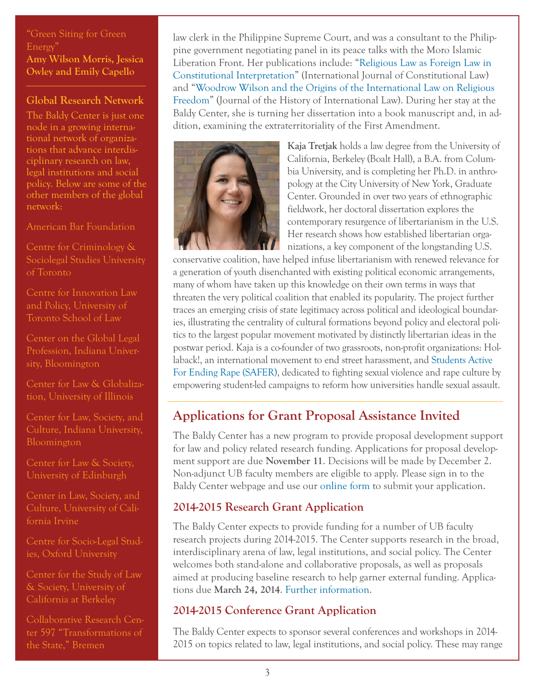["Green Siting for Green](http://buffalo.us6.list-manage1.com/track/click?u=9c469ba21bc97eb026344d1d7&id=af2ef4edc6&e=4ce4c6afb2)  [Energy"](http://buffalo.us6.list-manage1.com/track/click?u=9c469ba21bc97eb026344d1d7&id=af2ef4edc6&e=4ce4c6afb2) **[Amy Wilson Morris,](http://buffalo.us6.list-manage1.com/track/click?u=9c469ba21bc97eb026344d1d7&id=354a456b45&e=4ce4c6afb2) [Jessica](http://buffalo.us6.list-manage.com/track/click?u=9c469ba21bc97eb026344d1d7&id=0809bb1ba3&e=4ce4c6afb2)  [Owley](http://buffalo.us6.list-manage.com/track/click?u=9c469ba21bc97eb026344d1d7&id=0809bb1ba3&e=4ce4c6afb2) and [Emily Capello](http://buffalo.us6.list-manage1.com/track/click?u=9c469ba21bc97eb026344d1d7&id=f652b498d9&e=4ce4c6afb2)**

#### **Global Research Network**

The Baldy Center is just one node in a growing international network of organizations that advance interdisciplinary research on law, legal institutions and social policy. Below are some of the other members of the global network:

[American Bar Foundation](http://buffalo.us6.list-manage.com/track/click?u=9c469ba21bc97eb026344d1d7&id=969073ca1f&e=4ce4c6afb2)

[Centre for Criminology &](http://buffalo.us6.list-manage.com/track/click?u=9c469ba21bc97eb026344d1d7&id=34bda95e11&e=4ce4c6afb2)  [Sociolegal Studies University](http://buffalo.us6.list-manage.com/track/click?u=9c469ba21bc97eb026344d1d7&id=34bda95e11&e=4ce4c6afb2)  [of Toronto](http://buffalo.us6.list-manage.com/track/click?u=9c469ba21bc97eb026344d1d7&id=34bda95e11&e=4ce4c6afb2)

[Centre for Innovation Law](http://buffalo.us6.list-manage.com/track/click?u=9c469ba21bc97eb026344d1d7&id=9de6808e1e&e=4ce4c6afb2)  [and Policy, University of](http://buffalo.us6.list-manage.com/track/click?u=9c469ba21bc97eb026344d1d7&id=9de6808e1e&e=4ce4c6afb2)  [Toronto School of Law](http://buffalo.us6.list-manage.com/track/click?u=9c469ba21bc97eb026344d1d7&id=9de6808e1e&e=4ce4c6afb2)

[Center on the Global Legal](http://buffalo.us6.list-manage.com/track/click?u=9c469ba21bc97eb026344d1d7&id=83737b75fe&e=4ce4c6afb2)  [Profession, Indiana Univer](http://buffalo.us6.list-manage.com/track/click?u=9c469ba21bc97eb026344d1d7&id=83737b75fe&e=4ce4c6afb2)[sity, Bloomington](http://buffalo.us6.list-manage.com/track/click?u=9c469ba21bc97eb026344d1d7&id=83737b75fe&e=4ce4c6afb2)

[Center for Law & Globaliza](http://buffalo.us6.list-manage.com/track/click?u=9c469ba21bc97eb026344d1d7&id=b0205eb4a7&e=4ce4c6afb2)[tion, University of Illinois](http://buffalo.us6.list-manage.com/track/click?u=9c469ba21bc97eb026344d1d7&id=b0205eb4a7&e=4ce4c6afb2)

[Center for Law, Society, and](http://buffalo.us6.list-manage1.com/track/click?u=9c469ba21bc97eb026344d1d7&id=1a416aa58b&e=4ce4c6afb2)  [Bloomington](http://buffalo.us6.list-manage1.com/track/click?u=9c469ba21bc97eb026344d1d7&id=1a416aa58b&e=4ce4c6afb2)

[Center for Law & Society,](http://buffalo.us6.list-manage2.com/track/click?u=9c469ba21bc97eb026344d1d7&id=5a80591aae&e=4ce4c6afb2)  [University of Edinburgh](http://buffalo.us6.list-manage2.com/track/click?u=9c469ba21bc97eb026344d1d7&id=5a80591aae&e=4ce4c6afb2)

[Center in Law, Society, and](http://buffalo.us6.list-manage.com/track/click?u=9c469ba21bc97eb026344d1d7&id=65e29f884b&e=4ce4c6afb2)  [fornia Irvine](http://buffalo.us6.list-manage.com/track/click?u=9c469ba21bc97eb026344d1d7&id=65e29f884b&e=4ce4c6afb2)

[Centre for Socio-Legal Stud](http://buffalo.us6.list-manage2.com/track/click?u=9c469ba21bc97eb026344d1d7&id=d3c095cb72&e=4ce4c6afb2)[ies, Oxford University](http://buffalo.us6.list-manage2.com/track/click?u=9c469ba21bc97eb026344d1d7&id=d3c095cb72&e=4ce4c6afb2)

[Center for the Study of Law](http://buffalo.us6.list-manage1.com/track/click?u=9c469ba21bc97eb026344d1d7&id=70c0158224&e=4ce4c6afb2)  [& Society, University of](http://buffalo.us6.list-manage1.com/track/click?u=9c469ba21bc97eb026344d1d7&id=70c0158224&e=4ce4c6afb2)  [California at Berkeley](http://buffalo.us6.list-manage1.com/track/click?u=9c469ba21bc97eb026344d1d7&id=70c0158224&e=4ce4c6afb2)

[Collaborative Research Cen](http://buffalo.us6.list-manage.com/track/click?u=9c469ba21bc97eb026344d1d7&id=f8c835317f&e=4ce4c6afb2)[ter 597 "Transformations of](http://buffalo.us6.list-manage.com/track/click?u=9c469ba21bc97eb026344d1d7&id=f8c835317f&e=4ce4c6afb2)  [the State," Bremen](http://buffalo.us6.list-manage.com/track/click?u=9c469ba21bc97eb026344d1d7&id=f8c835317f&e=4ce4c6afb2)

law clerk in the Philippine Supreme Court, and was a consultant to the Philippine government negotiating panel in its peace talks with the Moro Islamic Liberation Front. Her publications include: ["Religious Law as Foreign Law in](http://buffalo.us6.list-manage.com/track/click?u=9c469ba21bc97eb026344d1d7&id=bfeaac2b40&e=4ce4c6afb2)  [Constitutional Interpretation](http://buffalo.us6.list-manage.com/track/click?u=9c469ba21bc97eb026344d1d7&id=bfeaac2b40&e=4ce4c6afb2)" (International Journal of Constitutional Law) and "[Woodrow Wilson and the Origins of the International Law on Religious](http://buffalo.us6.list-manage.com/track/click?u=9c469ba21bc97eb026344d1d7&id=2e0700489f&e=4ce4c6afb2)  [Freedom"](http://buffalo.us6.list-manage.com/track/click?u=9c469ba21bc97eb026344d1d7&id=2e0700489f&e=4ce4c6afb2) (Journal of the History of International Law). During her stay at the Baldy Center, she is turning her dissertation into a book manuscript and, in addition, examining the extraterritoriality of the First Amendment.



**Kaja Tretjak** holds a law degree from the University of California, Berkeley (Boalt Hall), a B.A. from Columbia University, and is completing her Ph.D. in anthropology at the City University of New York, Graduate Center. Grounded in over two years of ethnographic fieldwork, her doctoral dissertation explores the contemporary resurgence of libertarianism in the U.S. Her research shows how established libertarian organizations, a key component of the longstanding U.S.

conservative coalition, have helped infuse libertarianism with renewed relevance for a generation of youth disenchanted with existing political economic arrangements, many of whom have taken up this knowledge on their own terms in ways that threaten the very political coalition that enabled its popularity. The project further traces an emerging crisis of state legitimacy across political and ideological boundaries, illustrating the centrality of cultural formations beyond policy and electoral politics to the largest popular movement motivated by distinctly libertarian ideas in the postwar period. Kaja is a co-founder of two grassroots, non-profit organizations: [Hol](http://buffalo.us6.list-manage.com/track/click?u=9c469ba21bc97eb026344d1d7&id=b5bd330607&e=4ce4c6afb2)[laback!,](http://buffalo.us6.list-manage.com/track/click?u=9c469ba21bc97eb026344d1d7&id=b5bd330607&e=4ce4c6afb2) an international movement to end street harassment, and [Students Active](http://buffalo.us6.list-manage1.com/track/click?u=9c469ba21bc97eb026344d1d7&id=97a244f017&e=4ce4c6afb2)  [For Ending Rape \(SAFER\)](http://buffalo.us6.list-manage1.com/track/click?u=9c469ba21bc97eb026344d1d7&id=97a244f017&e=4ce4c6afb2), dedicated to fighting sexual violence and rape culture by empowering student-led campaigns to reform how universities handle sexual assault.

# <span id="page-2-0"></span>**Applications for Grant Proposal Assistance Invited**

The Baldy Center has a new program to provide proposal development support for law and policy related research funding. Applications for proposal development support are due **November 11**. Decisions will be made by December 2. Non-adjunct UB faculty members are eligible to apply. Please sign in to the Baldy Center webpage and use our [online form](http://buffalo.us6.list-manage1.com/track/click?u=9c469ba21bc97eb026344d1d7&id=3ece86abbb&e=4ce4c6afb2) to submit your application.

### **2014-2015 Research Grant Application**

The Baldy Center expects to provide funding for a number of UB faculty research projects during 2014-2015. The Center supports research in the broad, interdisciplinary arena of law, legal institutions, and social policy. The Center welcomes both stand-alone and collaborative proposals, as well as proposals aimed at producing baseline research to help garner external funding. Applications due **March 24, 2014**. [Further information.](http://buffalo.us6.list-manage.com/track/click?u=9c469ba21bc97eb026344d1d7&id=5b826e8f07&e=4ce4c6afb2)

### **2014-2015 Conference Grant Application**

The Baldy Center expects to sponsor several conferences and workshops in 2014- 2015 on topics related to law, legal institutions, and social policy. These may range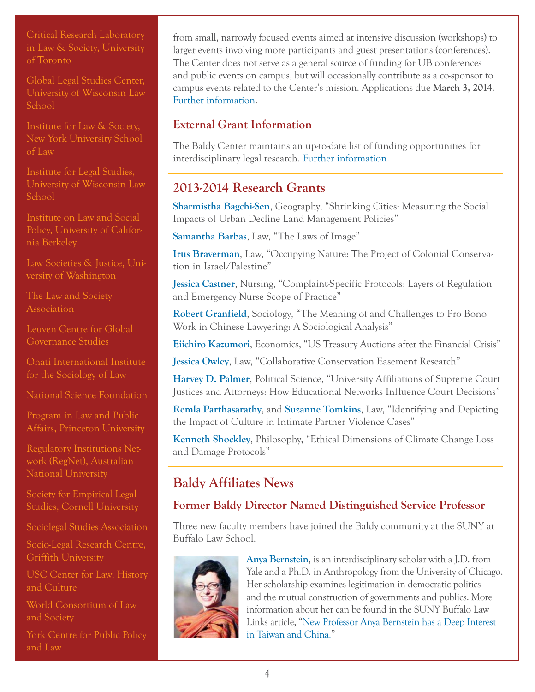[Critical Research Laboratory](http://buffalo.us6.list-manage.com/track/click?u=9c469ba21bc97eb026344d1d7&id=f0f95340a6&e=4ce4c6afb2)  [in Law & Society, University](http://buffalo.us6.list-manage.com/track/click?u=9c469ba21bc97eb026344d1d7&id=f0f95340a6&e=4ce4c6afb2)  [of Toronto](http://buffalo.us6.list-manage.com/track/click?u=9c469ba21bc97eb026344d1d7&id=f0f95340a6&e=4ce4c6afb2)

[Global Legal Studies Center,](http://buffalo.us6.list-manage1.com/track/click?u=9c469ba21bc97eb026344d1d7&id=34035181db&e=4ce4c6afb2)  [University of Wisconsin Law](http://buffalo.us6.list-manage1.com/track/click?u=9c469ba21bc97eb026344d1d7&id=34035181db&e=4ce4c6afb2)  [School](http://buffalo.us6.list-manage1.com/track/click?u=9c469ba21bc97eb026344d1d7&id=34035181db&e=4ce4c6afb2)

[Institute for Law & Society,](http://buffalo.us6.list-manage.com/track/click?u=9c469ba21bc97eb026344d1d7&id=f76c2509d7&e=4ce4c6afb2)  [New York University School](http://buffalo.us6.list-manage.com/track/click?u=9c469ba21bc97eb026344d1d7&id=f76c2509d7&e=4ce4c6afb2)  [of Law](http://buffalo.us6.list-manage.com/track/click?u=9c469ba21bc97eb026344d1d7&id=f76c2509d7&e=4ce4c6afb2)

[Institute for Legal Studies,](http://buffalo.us6.list-manage1.com/track/click?u=9c469ba21bc97eb026344d1d7&id=00b909248c&e=4ce4c6afb2)  [University of Wisconsin Law](http://buffalo.us6.list-manage1.com/track/click?u=9c469ba21bc97eb026344d1d7&id=00b909248c&e=4ce4c6afb2)  [School](http://buffalo.us6.list-manage1.com/track/click?u=9c469ba21bc97eb026344d1d7&id=00b909248c&e=4ce4c6afb2)

[Institute on Law and Social](http://buffalo.us6.list-manage.com/track/click?u=9c469ba21bc97eb026344d1d7&id=f76c2509d7&e=4ce4c6afb2)  [Policy, University of Califor](http://buffalo.us6.list-manage.com/track/click?u=9c469ba21bc97eb026344d1d7&id=f76c2509d7&e=4ce4c6afb2)[nia Berkeley](http://buffalo.us6.list-manage.com/track/click?u=9c469ba21bc97eb026344d1d7&id=f76c2509d7&e=4ce4c6afb2)

[Law Societies & Justice, Uni](http://buffalo.us6.list-manage.com/track/click?u=9c469ba21bc97eb026344d1d7&id=cb1c440df8&e=4ce4c6afb2)[versity of Washington](http://buffalo.us6.list-manage.com/track/click?u=9c469ba21bc97eb026344d1d7&id=cb1c440df8&e=4ce4c6afb2)

[The Law and Society](http://buffalo.us6.list-manage1.com/track/click?u=9c469ba21bc97eb026344d1d7&id=17fd853dde&e=4ce4c6afb2)  **[Association](http://buffalo.us6.list-manage1.com/track/click?u=9c469ba21bc97eb026344d1d7&id=17fd853dde&e=4ce4c6afb2)** 

[Leuven Centre for Global](http://buffalo.us6.list-manage.com/track/click?u=9c469ba21bc97eb026344d1d7&id=69bb005236&e=4ce4c6afb2)  [Governance Studies](http://buffalo.us6.list-manage.com/track/click?u=9c469ba21bc97eb026344d1d7&id=69bb005236&e=4ce4c6afb2)

[Onati International Institute](http://buffalo.us6.list-manage1.com/track/click?u=9c469ba21bc97eb026344d1d7&id=983e752172&e=4ce4c6afb2)  [for the Sociology of Law](http://buffalo.us6.list-manage1.com/track/click?u=9c469ba21bc97eb026344d1d7&id=983e752172&e=4ce4c6afb2)

[National Science Foundation](http://buffalo.us6.list-manage.com/track/click?u=9c469ba21bc97eb026344d1d7&id=4ffc7f5daf&e=4ce4c6afb2)

[Program in Law and Public](http://buffalo.us6.list-manage.com/track/click?u=9c469ba21bc97eb026344d1d7&id=05289b9b4d&e=4ce4c6afb2)  [Affairs, Princeton University](http://buffalo.us6.list-manage.com/track/click?u=9c469ba21bc97eb026344d1d7&id=05289b9b4d&e=4ce4c6afb2)

[Regulatory Institutions Net](http://buffalo.us6.list-manage.com/track/click?u=9c469ba21bc97eb026344d1d7&id=5a890d1bc6&e=4ce4c6afb2)[work \(RegNet\), Australian](http://buffalo.us6.list-manage.com/track/click?u=9c469ba21bc97eb026344d1d7&id=5a890d1bc6&e=4ce4c6afb2)  [National University](http://buffalo.us6.list-manage.com/track/click?u=9c469ba21bc97eb026344d1d7&id=5a890d1bc6&e=4ce4c6afb2)

[Society for Empirical Legal](http://buffalo.us6.list-manage.com/track/click?u=9c469ba21bc97eb026344d1d7&id=5a890d1bc6&e=4ce4c6afb2)  [Studies, Cornell University](http://buffalo.us6.list-manage.com/track/click?u=9c469ba21bc97eb026344d1d7&id=5a890d1bc6&e=4ce4c6afb2)

[Sociolegal Studies Association](http://buffalo.us6.list-manage2.com/track/click?u=9c469ba21bc97eb026344d1d7&id=2c006e683d&e=4ce4c6afb2)

[Socio-Legal Research Centre,](http://buffalo.us6.list-manage.com/track/click?u=9c469ba21bc97eb026344d1d7&id=460ac8c755&e=4ce4c6afb2)  [Griffith University](http://buffalo.us6.list-manage.com/track/click?u=9c469ba21bc97eb026344d1d7&id=460ac8c755&e=4ce4c6afb2)

[USC Center for Law, History](http://buffalo.us6.list-manage.com/track/click?u=9c469ba21bc97eb026344d1d7&id=58a6f6bec4&e=4ce4c6afb2)  [and Culture](http://buffalo.us6.list-manage.com/track/click?u=9c469ba21bc97eb026344d1d7&id=58a6f6bec4&e=4ce4c6afb2)

[World Consortium of Law](http://buffalo.us6.list-manage.com/track/click?u=9c469ba21bc97eb026344d1d7&id=5f5e87d88c&e=4ce4c6afb2)  [and Society](http://buffalo.us6.list-manage.com/track/click?u=9c469ba21bc97eb026344d1d7&id=5f5e87d88c&e=4ce4c6afb2)

York Centre for Public Policy and La[w](http://ycppl.info.yorku.ca/)

from small, narrowly focused events aimed at intensive discussion (workshops) to larger events involving more participants and guest presentations (conferences). The Center does not serve as a general source of funding for UB conferences and public events on campus, but will occasionally contribute as a co-sponsor to campus events related to the Center's mission. Applications due **March 3, 2014**. [Further information](http://buffalo.us6.list-manage1.com/track/click?u=9c469ba21bc97eb026344d1d7&id=35e72b05b8&e=4ce4c6afb2).

# **External Grant Information**

The Baldy Center maintains an up-to-date list of funding opportunities for interdisciplinary legal research. [Further information.](http://buffalo.us6.list-manage.com/track/click?u=9c469ba21bc97eb026344d1d7&id=85b30dde34&e=4ce4c6afb2)

# <span id="page-3-0"></span>**2013-2014 Research Grants**

**[Sharmistha Bagchi-Sen](http://www.acsu.buffalo.edu/~geosbs/)**, Geography, "Shrinking Cities: Measuring the Social Impacts of Urban Decline Land Management Policies"

**[Samantha Barbas](http://buffalo.us6.list-manage1.com/track/click?u=9c469ba21bc97eb026344d1d7&id=6e53e3c29c&e=4ce4c6afb2)**, Law, "The Laws of Image"

**[Irus Braverman](http://buffalo.us6.list-manage.com/track/click?u=9c469ba21bc97eb026344d1d7&id=2858e86ba0&e=4ce4c6afb2)**, Law, "Occupying Nature: The Project of Colonial Conservation in Israel/Palestine"

**[Jessica Castner](http://buffalo.us6.list-manage.com/track/click?u=9c469ba21bc97eb026344d1d7&id=a081a014e9&e=4ce4c6afb2)**, Nursing, "Complaint-Specific Protocols: Layers of Regulation and Emergency Nurse Scope of Practice"

**[Robert Granfield](http://buffalo.us6.list-manage1.com/track/click?u=9c469ba21bc97eb026344d1d7&id=be473cfb87&e=4ce4c6afb2)**, Sociology, "The Meaning of and Challenges to Pro Bono Work in Chinese Lawyering: A Sociological Analysis"

**[Eiichiro Kazumori](http://buffalo.us6.list-manage.com/track/click?u=9c469ba21bc97eb026344d1d7&id=1b44bf041f&e=4ce4c6afb2)**, Economics, "US Treasury Auctions after the Financial Crisis"

**[Jessica Owley](http://buffalo.us6.list-manage.com/track/click?u=9c469ba21bc97eb026344d1d7&id=9171be6ac7&e=4ce4c6afb2)**, Law, "Collaborative Conservation Easement Research"

**[Harvey D. Palmer](http://buffalo.us6.list-manage.com/track/click?u=9c469ba21bc97eb026344d1d7&id=b32f3fd16c&e=4ce4c6afb2)**, Political Science, "University Affiliations of Supreme Court Justices and Attorneys: How Educational Networks Influence Court Decisions"

**[Remla Parthasarathy](http://buffalo.us6.list-manage1.com/track/click?u=9c469ba21bc97eb026344d1d7&id=306f89adc4&e=4ce4c6afb2)**, and **[Suzanne Tomkins](http://buffalo.us6.list-manage1.com/track/click?u=9c469ba21bc97eb026344d1d7&id=a7727b95fc&e=4ce4c6afb2)**, Law, "Identifying and Depicting the Impact of Culture in Intimate Partner Violence Cases"

**[Kenneth Shockley](http://buffalo.us6.list-manage.com/track/click?u=9c469ba21bc97eb026344d1d7&id=118e4a9cb0&e=4ce4c6afb2)**, Philosophy, "Ethical Dimensions of Climate Change Loss and Damage Protocols"

# <span id="page-3-1"></span>**Baldy Affiliates News**

# **Former Baldy Director Named Distinguished Service Professor**

Three new faculty members have joined the Baldy community at the SUNY at Buffalo Law School.



**[Anya Bernstein](http://buffalo.us6.list-manage.com/track/click?u=9c469ba21bc97eb026344d1d7&id=3c4b547fd2&e=4ce4c6afb2)**, is an interdisciplinary scholar with a J.D. from Yale and a Ph.D. in Anthropology from the University of Chicago. Her scholarship examines legitimation in democratic politics and the mutual construction of governments and publics. More information about her can be found in the SUNY Buffalo Law Links article, "[New Professor Anya Bernstein has a Deep Interest](http://buffalo.us6.list-manage.com/track/click?u=9c469ba21bc97eb026344d1d7&id=7a54521cb2&e=4ce4c6afb2)  [in Taiwan and China.](http://buffalo.us6.list-manage.com/track/click?u=9c469ba21bc97eb026344d1d7&id=7a54521cb2&e=4ce4c6afb2)"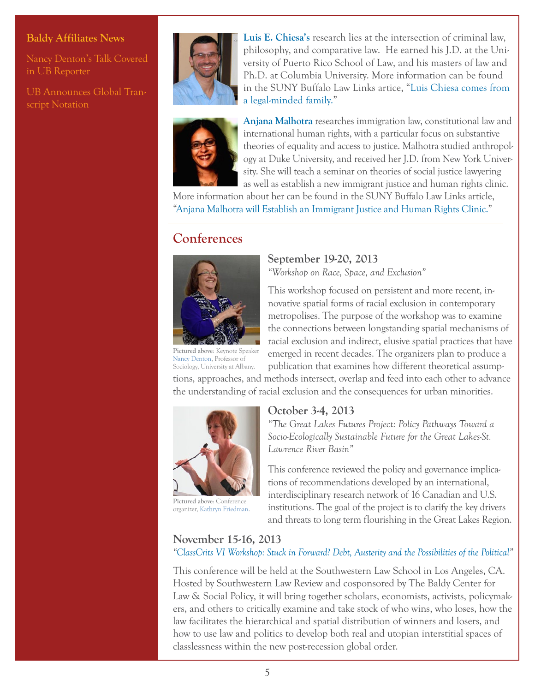#### **Baldy Affiliates News**

[Nancy Denton's Talk Covered](http://buffalo.us6.list-manage.com/track/click?u=9c469ba21bc97eb026344d1d7&id=d4f60d380c&e=4ce4c6afb2)  [in UB Reporter](http://buffalo.us6.list-manage.com/track/click?u=9c469ba21bc97eb026344d1d7&id=d4f60d380c&e=4ce4c6afb2)

[UB Announces Global Tran](http://buffalo.us6.list-manage.com/track/click?u=9c469ba21bc97eb026344d1d7&id=b418650023&e=4ce4c6afb2)[script Notation](http://buffalo.us6.list-manage.com/track/click?u=9c469ba21bc97eb026344d1d7&id=b418650023&e=4ce4c6afb2)



**[Luis E. Chiesa's](http://buffalo.us6.list-manage.com/track/click?u=9c469ba21bc97eb026344d1d7&id=870245e6e0&e=4ce4c6afb2)** research lies at the intersection of criminal law, philosophy, and comparative law. He earned his J.D. at the University of Puerto Rico School of Law, and his masters of law and Ph.D. at Columbia University. More information can be found in the SUNY Buffalo Law Links artice, "[Luis Chiesa comes from](http://buffalo.us6.list-manage.com/track/click?u=9c469ba21bc97eb026344d1d7&id=f6ec648f45&e=4ce4c6afb2)  [a legal-minded family.](http://buffalo.us6.list-manage.com/track/click?u=9c469ba21bc97eb026344d1d7&id=f6ec648f45&e=4ce4c6afb2)"



**[Anjana Malhotra](http://buffalo.us6.list-manage.com/track/click?u=9c469ba21bc97eb026344d1d7&id=47b9c5891d&e=4ce4c6afb2)** researches immigration law, constitutional law and international human rights, with a particular focus on substantive theories of equality and access to justice. Malhotra studied anthropology at Duke University, and received her J.D. from New York University. She will teach a seminar on theories of social justice lawyering as well as establish a new immigrant justice and human rights clinic.

More information about her can be found in the SUNY Buffalo Law Links article, ["Anjana Malhotra will Establish an Immigrant Justice and Human Rights Clinic."](http://buffalo.us6.list-manage.com/track/click?u=9c469ba21bc97eb026344d1d7&id=d0d75c07d0&e=4ce4c6afb2)

# <span id="page-4-0"></span>**Conferences**



#### **September 19-20, 2013** *"Workshop on Race, Space, and Exclusion"*

This workshop focused on persistent and more recent, in-

novative spatial forms of racial exclusion in contemporary metropolises. The purpose of the workshop was to examine the connections between longstanding spatial mechanisms of racial exclusion and indirect, elusive spatial practices that have emerged in recent decades. The organizers plan to produce a publication that examines how different theoretical assump-

**Pictured above**: Keynote Speaker [Nancy Denton](http://buffalo.us6.list-manage.com/track/click?u=9c469ba21bc97eb026344d1d7&id=8a127a68ee&e=4ce4c6afb2), Professor of Sociology, University at Albany.

tions, approaches, and methods intersect, overlap and feed into each other to advance the understanding of racial exclusion and the consequences for urban minorities.



**Pictured above**: Conference organizer, [Kathryn Friedman](http://buffalo.us6.list-manage.com/track/click?u=9c469ba21bc97eb026344d1d7&id=0083217045&e=4ce4c6afb2).

#### **October 3-4, 2013**

*"The Great Lakes Futures Project: Policy Pathways Toward a Socio-Ecologically Sustainable Future for the Great Lakes-St. Lawrence River Basin"* 

This conference reviewed the policy and governance implications of recommendations developed by an international, interdisciplinary research network of 16 Canadian and U.S. institutions. The goal of the project is to clarify the key drivers and threats to long term flourishing in the Great Lakes Region.

### **November 15-16, 2013**

*["ClassCrits VI Workshop: Stuck in Forward? Debt, Austerity and the Possibilities of the Political](http://buffalo.us6.list-manage.com/track/click?u=9c469ba21bc97eb026344d1d7&id=6eb7a176b2&e=4ce4c6afb2)"*

This conference will be held at the Southwestern Law School in Los Angeles, CA. Hosted by Southwestern Law Review and cosponsored by The Baldy Center for Law & Social Policy, it will bring together scholars, economists, activists, policymakers, and others to critically examine and take stock of who wins, who loses, how the law facilitates the hierarchical and spatial distribution of winners and losers, and how to use law and politics to develop both real and utopian interstitial spaces of classlessness within the new post-recession global order.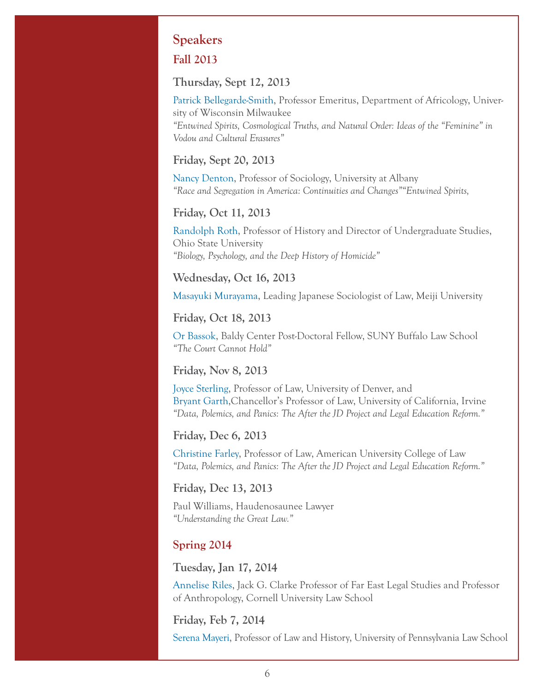# <span id="page-5-0"></span>**Speakers**

### **Fall 2013**

#### **Thursday, Sept 12, 2013**

[Patrick Bellegarde-Smith](http://buffalo.us6.list-manage1.com/track/click?u=9c469ba21bc97eb026344d1d7&id=913aba6685&e=4ce4c6afb2), Professor Emeritus, Department of Africology, University of Wisconsin Milwaukee *"Entwined Spirits, Cosmological Truths, and Natural Order: Ideas of the "Feminine" in Vodou and Cultural Erasures"*

#### **Friday, Sept 20, 2013**

[Nancy Denton,](http://buffalo.us6.list-manage2.com/track/click?u=9c469ba21bc97eb026344d1d7&id=0b985d8a18&e=4ce4c6afb2) Professor of Sociology, University at Albany *"Race and Segregation in America: Continuities and Changes""Entwined Spirits,*

#### **Friday, Oct 11, 2013**

[Randolph Roth](http://buffalo.us6.list-manage.com/track/click?u=9c469ba21bc97eb026344d1d7&id=7790db2753&e=4ce4c6afb2), Professor of History and Director of Undergraduate Studies, Ohio State University *"Biology, Psychology, and the Deep History of Homicide"*

#### **Wednesday, Oct 16, 2013**

[Masayuki Murayama](http://buffalo.us6.list-manage1.com/track/click?u=9c469ba21bc97eb026344d1d7&id=efbf5c49f7&e=4ce4c6afb2), Leading Japanese Sociologist of Law, Meiji University

#### **Friday, Oct 18, 2013**

[Or Bassok](http://buffalo.us6.list-manage1.com/track/click?u=9c469ba21bc97eb026344d1d7&id=d6de27b135&e=4ce4c6afb2), Baldy Center Post-Doctoral Fellow, SUNY Buffalo Law School *"The Court Cannot Hold"*

#### **Friday, Nov 8, 2013**

[Joyce Sterling](http://buffalo.us6.list-manage.com/track/click?u=9c469ba21bc97eb026344d1d7&id=3c0ebbf020&e=4ce4c6afb2), Professor of Law, University of Denver, and [Bryant Garth](http://buffalo.us6.list-manage.com/track/click?u=9c469ba21bc97eb026344d1d7&id=feb5dc5cda&e=4ce4c6afb2),Chancellor's Professor of Law, University of California, Irvine *"Data, Polemics, and Panics: The After the JD Project and Legal Education Reform."*

#### **Friday, Dec 6, 2013**

[Christine Farley](http://buffalo.us6.list-manage2.com/track/click?u=9c469ba21bc97eb026344d1d7&id=0e35875363&e=4ce4c6afb2), Professor of Law, American University College of Law *"Data, Polemics, and Panics: The After the JD Project and Legal Education Reform."*

#### **Friday, Dec 13, 2013**

Paul Williams, Haudenosaunee Lawyer *"Understanding the Great Law."*

#### **Spring 2014**

#### **Tuesday, Jan 17, 2014**

[Annelise Riles,](http://buffalo.us6.list-manage.com/track/click?u=9c469ba21bc97eb026344d1d7&id=116b020059&e=4ce4c6afb2) Jack G. Clarke Professor of Far East Legal Studies and Professor of Anthropology, Cornell University Law School

#### **Friday, Feb 7, 2014**

[Serena Mayeri,](http://buffalo.us6.list-manage.com/track/click?u=9c469ba21bc97eb026344d1d7&id=f633442b72&e=4ce4c6afb2) Professor of Law and History, University of Pennsylvania Law School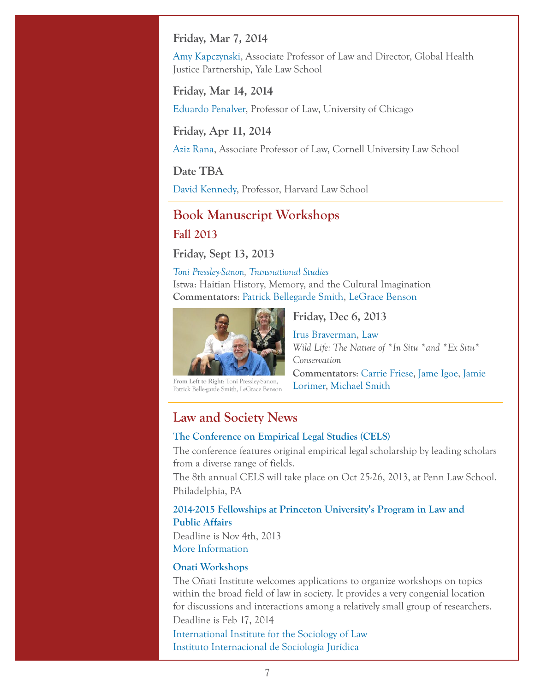#### **Friday, Mar 7, 2014**

[Amy Kapczynski](http://buffalo.us6.list-manage.com/track/click?u=9c469ba21bc97eb026344d1d7&id=8e72aaa33d&e=4ce4c6afb2), Associate Professor of Law and Director, Global Health Justice Partnership, Yale Law School

**Friday, Mar 14, 2014**

[Eduardo Penalver](http://buffalo.us6.list-manage.com/track/click?u=9c469ba21bc97eb026344d1d7&id=f284b03d26&e=4ce4c6afb2), Professor of Law, University of Chicago

**Friday, Apr 11, 2014**

[Aziz Rana,](http://buffalo.us6.list-manage2.com/track/click?u=9c469ba21bc97eb026344d1d7&id=8be719cefd&e=4ce4c6afb2) Associate Professor of Law, Cornell University Law School

**Date TBA**

[David Kennedy,](http://buffalo.us6.list-manage1.com/track/click?u=9c469ba21bc97eb026344d1d7&id=1f71e646d3&e=4ce4c6afb2) Professor, Harvard Law School

# <span id="page-6-0"></span>**Book Manuscript Workshops Fall 2013**

**Friday, Sept 13, 2013**

*[Toni Pressley-Sanon](http://buffalo.us6.list-manage.com/track/click?u=9c469ba21bc97eb026344d1d7&id=adc7d916bd&e=4ce4c6afb2), [Transnational Studies](http://buffalo.us6.list-manage.com/track/click?u=9c469ba21bc97eb026344d1d7&id=0f68adbf06&e=4ce4c6afb2)*  Istwa: Haitian History, Memory, and the Cultural Imagination **Commentators**: [Patrick Bellegarde Smith](http://buffalo.us6.list-manage.com/track/click?u=9c469ba21bc97eb026344d1d7&id=bdfc111c65&e=4ce4c6afb2), [LeGrace Benson](http://buffalo.us6.list-manage1.com/track/click?u=9c469ba21bc97eb026344d1d7&id=3b173af2f0&e=4ce4c6afb2)



**From Left to Right**: Toni Pressley-Sanon, Patrick Belle-garde Smith, LeGrace Benson

**Friday, Dec 6, 2013**

[Irus Braverman](http://buffalo.us6.list-manage.com/track/click?u=9c469ba21bc97eb026344d1d7&id=8ddc2de151&e=4ce4c6afb2), [Law](http://buffalo.us6.list-manage.com/track/click?u=9c469ba21bc97eb026344d1d7&id=5e8552761a&e=4ce4c6afb2) *Wild Life: The Nature of \*In Situ \*and \*Ex Situ\* Conservation*  **Commentators**: [Carrie Friese,](http://buffalo.us6.list-manage.com/track/click?u=9c469ba21bc97eb026344d1d7&id=1ca900085c&e=4ce4c6afb2) [Jame Igoe](http://buffalo.us6.list-manage2.com/track/click?u=9c469ba21bc97eb026344d1d7&id=7798cbcdc9&e=4ce4c6afb2), [Jamie](http://buffalo.us6.list-manage1.com/track/click?u=9c469ba21bc97eb026344d1d7&id=e89aa162da&e=4ce4c6afb2)  [Lorimer,](http://buffalo.us6.list-manage1.com/track/click?u=9c469ba21bc97eb026344d1d7&id=e89aa162da&e=4ce4c6afb2) [Michael Smith](http://buffalo.us6.list-manage1.com/track/click?u=9c469ba21bc97eb026344d1d7&id=9067cef3d0&e=4ce4c6afb2)

# <span id="page-6-1"></span>**Law and Society News**

#### **[The Conference on Empirical Legal Studies \(CELS\)](http://buffalo.us6.list-manage1.com/track/click?u=9c469ba21bc97eb026344d1d7&id=eefe8c269b&e=4ce4c6afb2)**

The conference features original empirical legal scholarship by leading scholars from a diverse range of fields.

The 8th annual CELS will take place on Oct 25-26, 2013, at Penn Law School. Philadelphia, PA

#### **[2014-2015 Fellowships at Princeton University's Program in Law and](http://buffalo.us6.list-manage.com/track/click?u=9c469ba21bc97eb026344d1d7&id=22524dfffc&e=4ce4c6afb2)  [Public Affairs](http://buffalo.us6.list-manage.com/track/click?u=9c469ba21bc97eb026344d1d7&id=22524dfffc&e=4ce4c6afb2)**

Deadline is Nov 4th, 2013 [More Information](http://buffalo.us6.list-manage.com/track/click?u=9c469ba21bc97eb026344d1d7&id=751d7091ba&e=4ce4c6afb2)

#### **[Onati Workshops](http://buffalo.us6.list-manage.com/track/click?u=9c469ba21bc97eb026344d1d7&id=811ea2654f&e=4ce4c6afb2)**

The Oñati Institute welcomes applications to organize workshops on topics within the broad field of law in society. It provides a very congenial location for discussions and interactions among a relatively small group of researchers. Deadline is Feb 17, 2014

[International Institute for the Sociology of Law](http://buffalo.us6.list-manage1.com/track/click?u=9c469ba21bc97eb026344d1d7&id=fbf8186095&e=4ce4c6afb2)  [Instituto Internacional de Sociología Jurídica](http://buffalo.us6.list-manage.com/track/click?u=9c469ba21bc97eb026344d1d7&id=359f91da9c&e=4ce4c6afb2)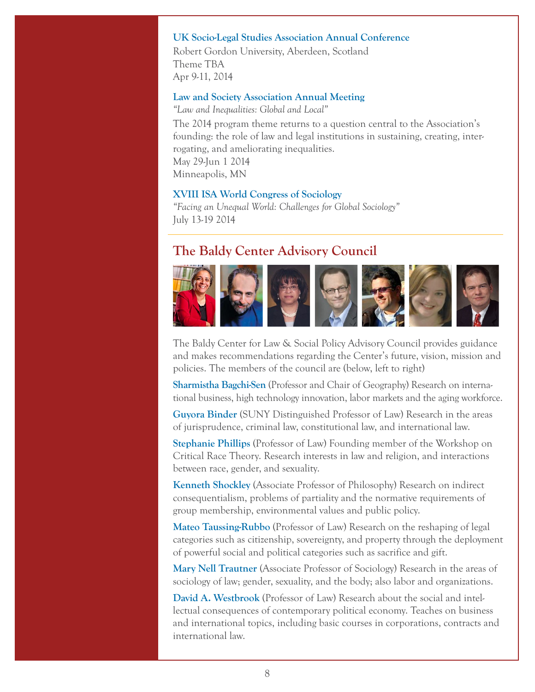#### **[UK Socio-Legal Studies Association Annual Conference](http://buffalo.us6.list-manage.com/track/click?u=9c469ba21bc97eb026344d1d7&id=9081ddd30e&e=4ce4c6afb2)**

[Robert Gordon University, Aberdeen, Scotland](http://buffalo.us6.list-manage.com/track/click?u=9c469ba21bc97eb026344d1d7&id=55943d8112&e=4ce4c6afb2)  Theme TBA Apr 9-11, 2014

#### **[Law and Society Association Annual Meeting](http://buffalo.us6.list-manage2.com/track/click?u=9c469ba21bc97eb026344d1d7&id=5472c466a8&e=4ce4c6afb2)**

*"Law and Inequalities: Global and Local"*

The 2014 program theme returns to a question central to the Association's founding: the role of law and legal institutions in sustaining, creating, interrogating, and ameliorating inequalities. May 29-Jun 1 2014 Minneapolis, MN

#### **[XVIII ISA World Congress of Sociology](http://buffalo.us6.list-manage.com/track/click?u=9c469ba21bc97eb026344d1d7&id=316985689b&e=4ce4c6afb2)**

*"Facing an Unequal World: Challenges for Global Sociology"*  July 13-19 2014

### <span id="page-7-0"></span>**The Baldy Center Advisory Council**



The Baldy Center for Law & Social Policy Advisory Council provides guidance and makes recommendations regarding the Center's future, vision, mission and policies. The members of the council are (below, left to right)

**[Sharmistha Bagchi-Sen](http://buffalo.us6.list-manage2.com/track/click?u=9c469ba21bc97eb026344d1d7&id=cd84787078&e=4ce4c6afb2)** (Professor and Chair of Geography) Research on international business, high technology innovation, labor markets and the aging workforce.

**[Guyora Binder](http://buffalo.us6.list-manage.com/track/click?u=9c469ba21bc97eb026344d1d7&id=bc772f0be9&e=4ce4c6afb2)** (SUNY Distinguished Professor of Law) Research in the areas of jurisprudence, criminal law, constitutional law, and international law.

**[Stephanie Phillips](http://buffalo.us6.list-manage.com/track/click?u=9c469ba21bc97eb026344d1d7&id=3bd1afa2cc&e=4ce4c6afb2)** (Professor of Law) Founding member of the Workshop on Critical Race Theory. Research interests in law and religion, and interactions between race, gender, and sexuality.

**[Kenneth Shockley](http://buffalo.us6.list-manage.com/track/click?u=9c469ba21bc97eb026344d1d7&id=4e836c2e74&e=4ce4c6afb2)** (Associate Professor of Philosophy) Research on indirect consequentialism, problems of partiality and the normative requirements of group membership, environmental values and public policy.

**[Mateo Taussing-Rubbo](http://buffalo.us6.list-manage.com/track/click?u=9c469ba21bc97eb026344d1d7&id=7d7f7512cd&e=4ce4c6afb2)** (Professor of Law) Research on the reshaping of legal categories such as citizenship, sovereignty, and property through the deployment of powerful social and political categories such as sacrifice and gift.

**[Mary Nell Trautner](http://buffalo.us6.list-manage.com/track/click?u=9c469ba21bc97eb026344d1d7&id=201063bbdb&e=4ce4c6afb2)** (Associate Professor of Sociology) Research in the areas of sociology of law; gender, sexuality, and the body; also labor and organizations.

**[David A. Westbrook](http://buffalo.us6.list-manage2.com/track/click?u=9c469ba21bc97eb026344d1d7&id=79236cee0f&e=4ce4c6afb2)** (Professor of Law) Research about the social and intellectual consequences of contemporary political economy. Teaches on business and international topics, including basic courses in corporations, contracts and international law.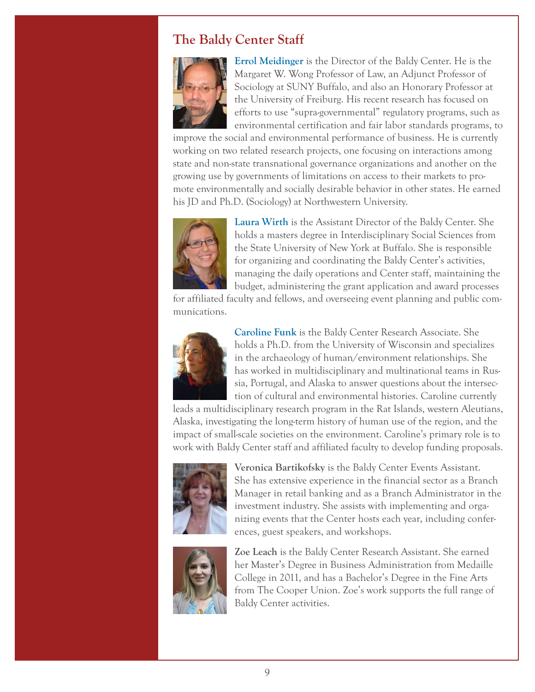# <span id="page-8-0"></span>**The Baldy Center Staff**



**[Errol Meidinger](http://buffalo.us6.list-manage.com/track/click?u=9c469ba21bc97eb026344d1d7&id=e3dbb50862&e=4ce4c6afb2)** is the Director of the Baldy Center. He is the Margaret W. Wong Professor of Law, an Adjunct Professor of Sociology at SUNY Buffalo, and also an Honorary Professor at the University of Freiburg. His recent research has focused on efforts to use "supra-governmental" regulatory programs, such as environmental certification and fair labor standards programs, to

improve the social and environmental performance of business. He is currently working on two related research projects, one focusing on interactions among state and non-state transnational governance organizations and another on the growing use by governments of limitations on access to their markets to promote environmentally and socially desirable behavior in other states. He earned his JD and Ph.D. (Sociology) at Northwestern University.



**[Laura Wirth](http://buffalo.us6.list-manage.com/track/click?u=9c469ba21bc97eb026344d1d7&id=49223d7540&e=4ce4c6afb2)** is the Assistant Director of the Baldy Center. She holds a masters degree in Interdisciplinary Social Sciences from the State University of New York at Buffalo. She is responsible for organizing and coordinating the Baldy Center's activities, managing the daily operations and Center staff, maintaining the budget, administering the grant application and award processes

for affiliated faculty and fellows, and overseeing event planning and public communications.



**[Caroline Funk](http://buffalo.us6.list-manage.com/track/click?u=9c469ba21bc97eb026344d1d7&id=8675dc3292&e=4ce4c6afb2)** is the Baldy Center Research Associate. She holds a Ph.D. from the University of Wisconsin and specializes in the archaeology of human/environment relationships. She has worked in multidisciplinary and multinational teams in Russia, Portugal, and Alaska to answer questions about the intersection of cultural and environmental histories. Caroline currently

leads a multidisciplinary research program in the Rat Islands, western Aleutians, Alaska, investigating the long-term history of human use of the region, and the impact of small-scale societies on the environment. Caroline's primary role is to work with Baldy Center staff and affiliated faculty to develop funding proposals.



**Veronica Bartikofsky** is the Baldy Center Events Assistant. She has extensive experience in the financial sector as a Branch Manager in retail banking and as a Branch Administrator in the investment industry. She assists with implementing and organizing events that the Center hosts each year, including conferences, guest speakers, and workshops.



**Zoe Leach** is the Baldy Center Research Assistant. She earned her Master's Degree in Business Administration from Medaille College in 2011, and has a Bachelor's Degree in the Fine Arts from The Cooper Union. Zoe's work supports the full range of Baldy Center activities.